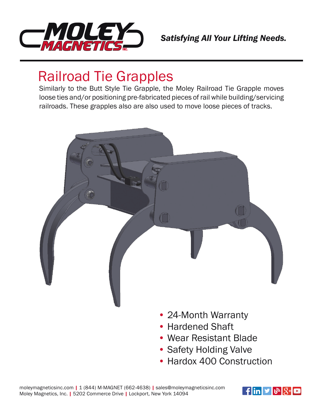

## Railroad Tie Grapples

Similarly to the Butt Style Tie Grapple, the Moley Railroad Tie Grapple moves loose ties and/or positioning pre-fabricated pieces of rail while building/servicing railroads. These grapples also are also used to move loose pieces of tracks.